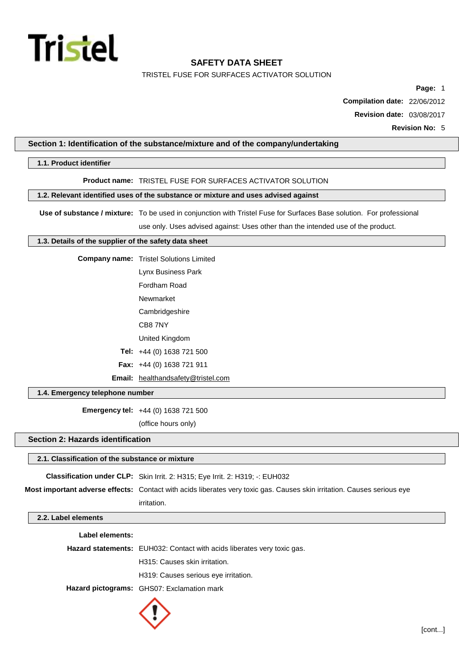

TRISTEL FUSE FOR SURFACES ACTIVATOR SOLUTION

**Page:** 1

**Compilation date:** 22/06/2012

**Revision date:** 03/08/2017

## **Section 1: Identification of the substance/mixture and of the company/undertaking**

### **1.1. Product identifier**

#### **Product name:** TRISTEL FUSE FOR SURFACES ACTIVATOR SOLUTION

## **1.2. Relevant identified uses of the substance or mixture and uses advised against**

**Use of substance / mixture:** To be used in conjunction with Tristel Fuse for Surfaces Base solution. For professional

use only. Uses advised against: Uses other than the intended use of the product.

## **1.3. Details of the supplier of the safety data sheet**

**Company name:** Tristel Solutions Limited

Lynx Business Park

Fordham Road

Newmarket

**Cambridgeshire** 

CB8 7NY

United Kingdom

**Tel:** +44 (0) 1638 721 500

**Fax:** +44 (0) 1638 721 911

**Email:** [healthandsafety@tristel.com](mailto:healthandsafety@tristel.com)

## **1.4. Emergency telephone number**

**Emergency tel:** +44 (0) 1638 721 500

(office hours only)

## **Section 2: Hazards identification**

## **2.1. Classification of the substance or mixture**

**Classification under CLP:** Skin Irrit. 2: H315; Eye Irrit. 2: H319; -: EUH032 **Most important adverse effects:** Contact with acids liberates very toxic gas. Causes skin irritation. Causes serious eye irritation.

#### **2.2. Label elements**

| Label elements: |                                                                         |
|-----------------|-------------------------------------------------------------------------|
|                 | Hazard statements: EUH032: Contact with acids liberates very toxic gas. |
|                 | H315: Causes skin irritation.                                           |
|                 | H319: Causes serious eye irritation.                                    |
|                 | Hazard pictograms: GHS07: Exclamation mark                              |
|                 |                                                                         |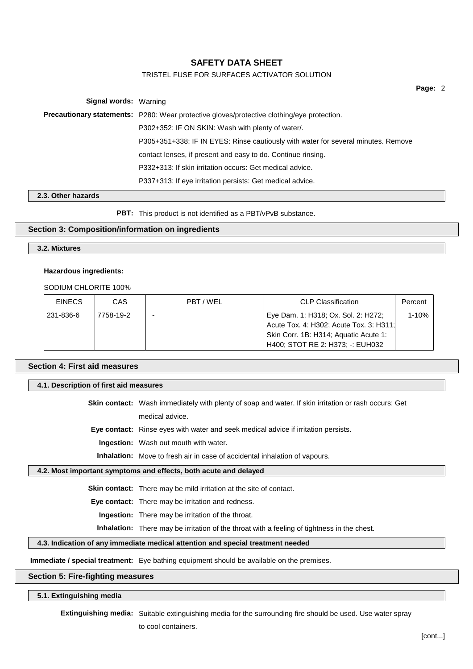## TRISTEL FUSE FOR SURFACES ACTIVATOR SOLUTION

**Page:** 2

| <b>Signal words: Warning</b> |                                                                                                   |  |  |
|------------------------------|---------------------------------------------------------------------------------------------------|--|--|
|                              | <b>Precautionary statements:</b> P280: Wear protective gloves/protective clothing/eye protection. |  |  |
|                              | P302+352: IF ON SKIN: Wash with plenty of water/.                                                 |  |  |
|                              | P305+351+338: IF IN EYES: Rinse cautiously with water for several minutes. Remove                 |  |  |
|                              | contact lenses, if present and easy to do. Continue rinsing.                                      |  |  |
|                              | P332+313: If skin irritation occurs: Get medical advice.                                          |  |  |
|                              | P337+313: If eye irritation persists: Get medical advice.                                         |  |  |

#### **2.3. Other hazards**

**PBT:** This product is not identified as a PBT/vPvB substance.

## **Section 3: Composition/information on ingredients**

**3.2. Mixtures**

#### **Hazardous ingredients:**

SODIUM CHLORITE 100%

| <b>EINECS</b> | CAS       | PBT/WEL | <b>CLP Classification</b>               | Percent |
|---------------|-----------|---------|-----------------------------------------|---------|
| 231-836-6     | 7758-19-2 |         | Eye Dam. 1: H318; Ox. Sol. 2: H272;     | 1-10%   |
|               |           |         | Acute Tox. 4: H302; Acute Tox. 3: H311; |         |
|               |           |         | Skin Corr. 1B: H314; Aquatic Acute 1:   |         |
|               |           |         | H400; STOT RE 2: H373; -: EUH032        |         |

### **Section 4: First aid measures**

**4.1. Description of first aid measures**

**Skin contact:** Wash immediately with plenty of soap and water. If skin irritation or rash occurs: Get medical advice.

**Eye contact:** Rinse eyes with water and seek medical advice if irritation persists.

**Ingestion:** Wash out mouth with water.

**Inhalation:** Move to fresh air in case of accidental inhalation of vapours.

#### **4.2. Most important symptoms and effects, both acute and delayed**

**Skin contact:** There may be mild irritation at the site of contact.

**Eye contact:** There may be irritation and redness.

**Ingestion:** There may be irritation of the throat.

**Inhalation:** There may be irritation of the throat with a feeling of tightness in the chest.

# **4.3. Indication of any immediate medical attention and special treatment needed**

**Immediate / special treatment:** Eye bathing equipment should be available on the premises.

## **Section 5: Fire-fighting measures**

**5.1. Extinguishing media**

**Extinguishing media:** Suitable extinguishing media for the surrounding fire should be used. Use water spray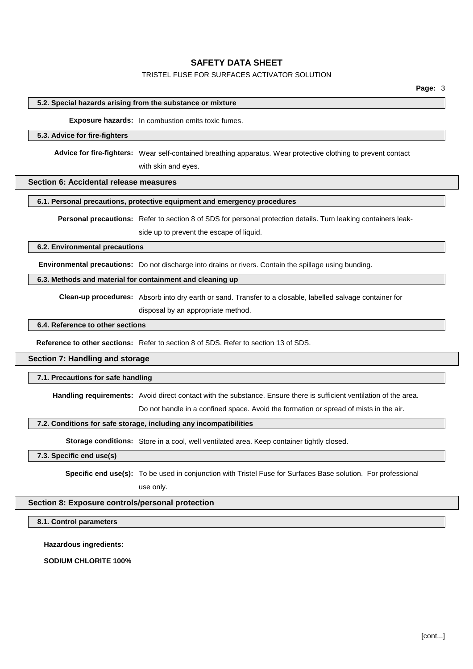## TRISTEL FUSE FOR SURFACES ACTIVATOR SOLUTION

#### **5.2. Special hazards arising from the substance or mixture**

**Exposure hazards:** In combustion emits toxic fumes.

#### **5.3. Advice for fire-fighters**

**Advice for fire-fighters:** Wear self-contained breathing apparatus. Wear protective clothing to prevent contact with skin and eyes.

## **Section 6: Accidental release measures**

# **6.1. Personal precautions, protective equipment and emergency procedures**

**Personal precautions:** Refer to section 8 of SDS for personal protection details. Turn leaking containers leakside up to prevent the escape of liquid.

#### **6.2. Environmental precautions**

**Environmental precautions:** Do not discharge into drains or rivers. Contain the spillage using bunding.

#### **6.3. Methods and material for containment and cleaning up**

**Clean-up procedures:** Absorb into dry earth or sand. Transfer to a closable, labelled salvage container for

disposal by an appropriate method.

## **6.4. Reference to other sections**

**Reference to other sections:** Refer to section 8 of SDS. Refer to section 13 of SDS.

#### **Section 7: Handling and storage**

#### **7.1. Precautions for safe handling**

**Handling requirements:** Avoid direct contact with the substance. Ensure there is sufficient ventilation of the area.

Do not handle in a confined space. Avoid the formation or spread of mists in the air.

#### **7.2. Conditions for safe storage, including any incompatibilities**

**Storage conditions:** Store in a cool, well ventilated area. Keep container tightly closed.

## **7.3. Specific end use(s)**

**Specific end use(s):** To be used in conjunction with Tristel Fuse for Surfaces Base solution. For professional

use only.

## **Section 8: Exposure controls/personal protection**

## **8.1. Control parameters**

**Hazardous ingredients:**

**SODIUM CHLORITE 100%**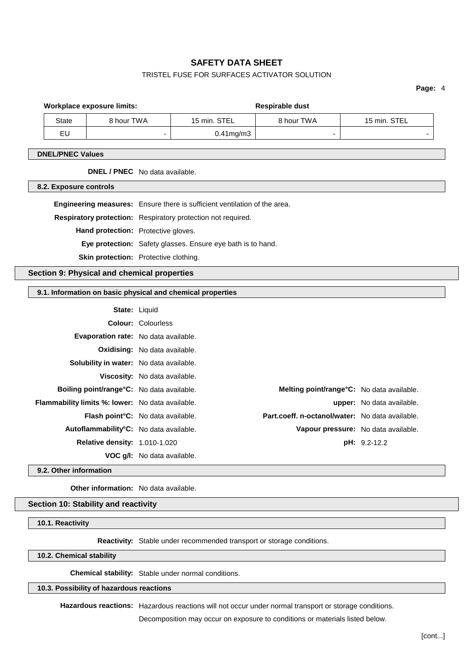## TRISTEL FUSE FOR SURFACES ACTIVATOR SOLUTION

**Page:** 4

|                                         |                                                                           | <b>Workplace exposure limits:</b>           |                                                              |                                                            | Respirable dust |              |
|-----------------------------------------|---------------------------------------------------------------------------|---------------------------------------------|--------------------------------------------------------------|------------------------------------------------------------|-----------------|--------------|
|                                         | <b>State</b>                                                              | 8 hour TWA                                  |                                                              | 15 min. STEL                                               | 8 hour TWA      | 15 min. STEL |
|                                         | EU<br>٠                                                                   |                                             | $0.41$ mg/m $3$                                              | ٠                                                          |                 |              |
|                                         | <b>DNEL/PNEC Values</b>                                                   |                                             |                                                              |                                                            |                 |              |
| <b>DNEL / PNEC</b> No data available.   |                                                                           |                                             |                                                              |                                                            |                 |              |
|                                         | 8.2. Exposure controls                                                    |                                             |                                                              |                                                            |                 |              |
|                                         | Engineering measures: Ensure there is sufficient ventilation of the area. |                                             |                                                              |                                                            |                 |              |
|                                         |                                                                           |                                             | Respiratory protection: Respiratory protection not required. |                                                            |                 |              |
| Hand protection: Protective gloves.     |                                                                           |                                             |                                                              |                                                            |                 |              |
|                                         |                                                                           |                                             | Eye protection: Safety glasses. Ensure eye bath is to hand.  |                                                            |                 |              |
|                                         | Skin protection: Protective clothing.                                     |                                             |                                                              |                                                            |                 |              |
|                                         |                                                                           | Section 9: Physical and chemical properties |                                                              |                                                            |                 |              |
|                                         |                                                                           |                                             |                                                              | 9.1. Information on basic physical and chemical properties |                 |              |
|                                         |                                                                           |                                             | State: Liquid                                                |                                                            |                 |              |
| <b>Colour: Colourless</b>               |                                                                           |                                             |                                                              |                                                            |                 |              |
| Evaporation rate: No data available.    |                                                                           |                                             |                                                              |                                                            |                 |              |
|                                         |                                                                           | <b>Oxidising:</b> No data available.        |                                                              |                                                            |                 |              |
| Solubility in water: No data available. |                                                                           |                                             |                                                              |                                                            |                 |              |
| Massadine Nicolaire and the bir         |                                                                           |                                             |                                                              |                                                            |                 |              |

|                                                     | Viscosity: No data available.             |                                                 |                           |
|-----------------------------------------------------|-------------------------------------------|-------------------------------------------------|---------------------------|
| Boiling point/range°C: No data available.           |                                           | Melting point/range°C: No data available.       |                           |
| Flammability limits %: lower: No data available.    |                                           |                                                 | upper: No data available. |
|                                                     | <b>Flash point °C:</b> No data available. | Part.coeff. n-octanol/water: No data available. |                           |
| Autoflammability <sup>°</sup> C: No data available. |                                           | Vapour pressure: No data available.             |                           |
| <b>Relative density: 1.010-1.020</b>                |                                           |                                                 | <b>pH:</b> 9.2-12.2       |
|                                                     | VOC g/l: No data available.               |                                                 |                           |
|                                                     |                                           |                                                 |                           |

**9.2. Other information**

 $\mathbb{R}$ 

 $\mathbb{R}$ 

 $\sqrt{2}$ 

**Other information:** No data available.

## **Section 10: Stability and reactivity**

**10.1. Reactivity**

**Reactivity:** Stable under recommended transport or storage conditions.

**10.2. Chemical stability**

**Chemical stability:** Stable under normal conditions.

## **10.3. Possibility of hazardous reactions**

**Hazardous reactions:** Hazardous reactions will not occur under normal transport or storage conditions.

Decomposition may occur on exposure to conditions or materials listed below.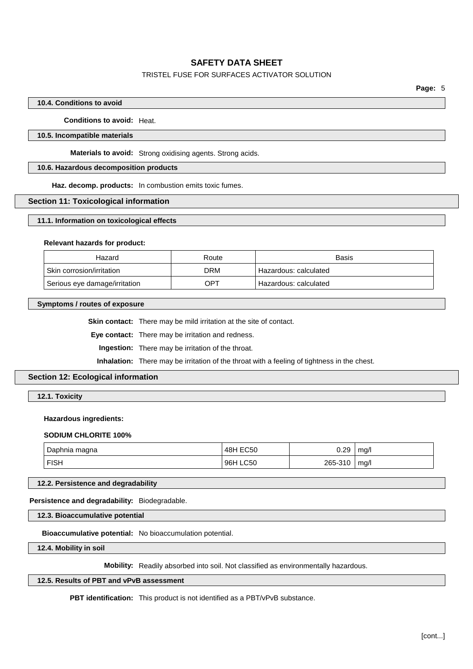## TRISTEL FUSE FOR SURFACES ACTIVATOR SOLUTION

#### **10.4. Conditions to avoid**

**Conditions to avoid:** Heat.

## **10.5. Incompatible materials**

**Materials to avoid:** Strong oxidising agents. Strong acids.

## **10.6. Hazardous decomposition products**

**Haz. decomp. products:** In combustion emits toxic fumes.

#### **Section 11: Toxicological information**

#### **11.1. Information on toxicological effects**

#### **Relevant hazards for product:**

| Hazard                        | Route | Basis                 |
|-------------------------------|-------|-----------------------|
| Skin corrosion/irritation     | DRM   | Hazardous: calculated |
| Serious eye damage/irritation | OPT   | Hazardous: calculated |

#### **Symptoms / routes of exposure**

**Skin contact:** There may be mild irritation at the site of contact.

**Eye contact:** There may be irritation and redness.

**Ingestion:** There may be irritation of the throat.

**Inhalation:** There may be irritation of the throat with a feeling of tightness in the chest.

## **Section 12: Ecological information**

**12.1. Toxicity**

#### **Hazardous ingredients:**

#### **SODIUM CHLORITE 100%**

| Daphnia<br>magna | EC50<br>48H        | 0.29              | ma/  |
|------------------|--------------------|-------------------|------|
| <b>FISH</b>      | <b>LC50</b><br>96H | 265-<br>-310<br>╮ | ma/l |

**12.2. Persistence and degradability**

## **Persistence and degradability:** Biodegradable.

**12.3. Bioaccumulative potential**

**Bioaccumulative potential:** No bioaccumulation potential.

**12.4. Mobility in soil**

**Mobility:** Readily absorbed into soil. Not classified as environmentally hazardous.

## **12.5. Results of PBT and vPvB assessment**

**PBT identification:** This product is not identified as a PBT/vPvB substance.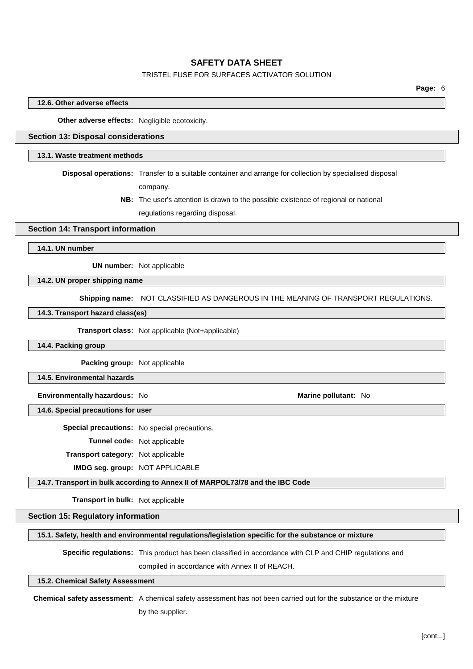## TRISTEL FUSE FOR SURFACES ACTIVATOR SOLUTION

## **12.6. Other adverse effects**

**Other adverse effects:** Negligible ecotoxicity.

# **Section 13: Disposal considerations**

#### **13.1. Waste treatment methods**

**Disposal operations:** Transfer to a suitable container and arrange for collection by specialised disposal company.

> **NB:** The user's attention is drawn to the possible existence of regional or national regulations regarding disposal.

#### **Section 14: Transport information**

**14.1. UN number**

**UN number:** Not applicable

## **14.2. UN proper shipping name**

**Shipping name:** NOT CLASSIFIED AS DANGEROUS IN THE MEANING OF TRANSPORT REGULATIONS.

#### **14.3. Transport hazard class(es)**

**Transport class:** Not applicable (Not+applicable)

#### **14.4. Packing group**

**Packing group:** Not applicable

**14.5. Environmental hazards**

**Environmentally hazardous:** No **Marine Marine Marine Marine Marine Marine Marine Marine Marine Marine Marine Marine Marine Marine Marine Marine Marine Marine Marine Marine Marine**

**14.6. Special precautions for user**

**Special precautions:** No special precautions.

**Tunnel code:** Not applicable

**Transport category:** Not applicable

**IMDG seg. group:** NOT APPLICABLE

## **14.7. Transport in bulk according to Annex II of MARPOL73/78 and the IBC Code**

**Transport in bulk:** Not applicable

#### **Section 15: Regulatory information**

## **15.1. Safety, health and environmental regulations/legislation specific for the substance or mixture**

**Specific regulations:** This product has been classified in accordance with CLP and CHIP regulations and compiled in accordance with Annex II of REACH.

#### **15.2. Chemical Safety Assessment**

**Chemical safety assessment:** A chemical safety assessment has not been carried out for the substance or the mixture by the supplier.